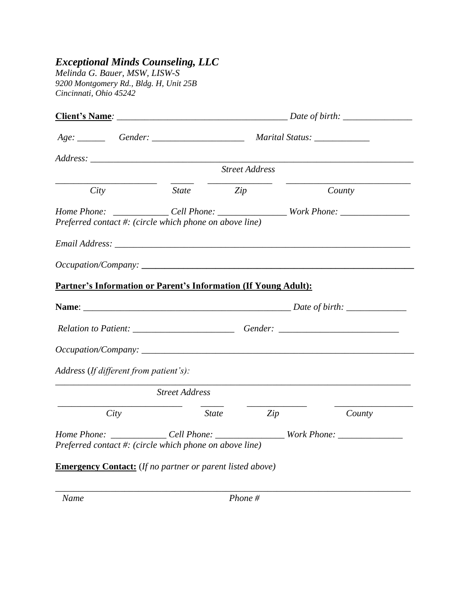## *Exceptional Minds Counseling, LLC*

*Melinda G. Bauer, MSW, LISW-S 9200 Montgomery Rd., Bldg. H, Unit 25B Cincinnati, Ohio 45242*

| City                                                                                                                                                                | <i>Zip</i><br><i>State</i> | <b>Street Address</b> | County                                                                            |  |
|---------------------------------------------------------------------------------------------------------------------------------------------------------------------|----------------------------|-----------------------|-----------------------------------------------------------------------------------|--|
|                                                                                                                                                                     |                            |                       |                                                                                   |  |
|                                                                                                                                                                     |                            |                       |                                                                                   |  |
|                                                                                                                                                                     |                            |                       |                                                                                   |  |
| Home Phone: ______________Cell Phone: __________________Work Phone: _____________<br>Preferred contact #: (circle which phone on above line)<br>Occupation/Company: |                            |                       |                                                                                   |  |
|                                                                                                                                                                     |                            |                       |                                                                                   |  |
| Partner's Information or Parent's Information (If Young Adult):                                                                                                     |                            |                       |                                                                                   |  |
|                                                                                                                                                                     |                            |                       |                                                                                   |  |
|                                                                                                                                                                     |                            |                       |                                                                                   |  |
|                                                                                                                                                                     |                            |                       |                                                                                   |  |
|                                                                                                                                                                     |                            |                       | Relation to Patient: _______________________________Gender: _____________________ |  |
| Occupation/Company:                                                                                                                                                 |                            |                       |                                                                                   |  |
| Address (If different from patient's):                                                                                                                              |                            |                       |                                                                                   |  |
|                                                                                                                                                                     | <b>Street Address</b>      |                       |                                                                                   |  |
| City                                                                                                                                                                |                            | <i>State</i><br>Zip   | County                                                                            |  |
|                                                                                                                                                                     |                            |                       |                                                                                   |  |
| Preferred contact #: (circle which phone on above line)                                                                                                             |                            |                       |                                                                                   |  |

\_\_\_\_\_\_\_\_\_\_\_\_\_\_\_\_\_\_\_\_\_\_\_\_\_\_\_\_\_\_\_\_\_\_\_\_\_\_\_\_\_\_\_\_\_\_\_\_\_\_\_\_\_\_\_\_\_\_\_\_\_\_\_\_\_\_\_\_\_\_\_\_\_\_\_\_\_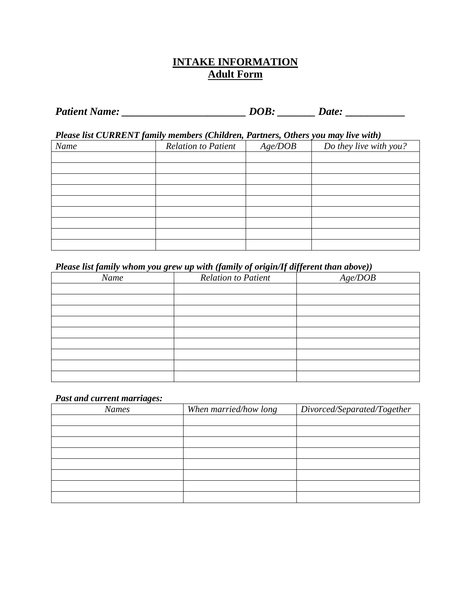### **INTAKE INFORMATION Adult Form**

| <b>Patient Name:</b> | DOB. | Date: |  |
|----------------------|------|-------|--|
|----------------------|------|-------|--|

*Please list CURRENT family members (Children, Partners, Others you may live with)*

| Name | <b>Relation to Patient</b> | Age/DOB | Do they live with you? |
|------|----------------------------|---------|------------------------|
|      |                            |         |                        |
|      |                            |         |                        |
|      |                            |         |                        |
|      |                            |         |                        |
|      |                            |         |                        |
|      |                            |         |                        |
|      |                            |         |                        |
|      |                            |         |                        |
|      |                            |         |                        |

#### *Please list family whom you grew up with (family of origin/If different than above))*

| Name | <b>Relation to Patient</b> | Age/DOB |
|------|----------------------------|---------|
|      |                            |         |
|      |                            |         |
|      |                            |         |
|      |                            |         |
|      |                            |         |
|      |                            |         |
|      |                            |         |
|      |                            |         |
|      |                            |         |

#### *Past and current marriages:*

| <b>Names</b> | When married/how long | Divorced/Separated/Together |
|--------------|-----------------------|-----------------------------|
|              |                       |                             |
|              |                       |                             |
|              |                       |                             |
|              |                       |                             |
|              |                       |                             |
|              |                       |                             |
|              |                       |                             |
|              |                       |                             |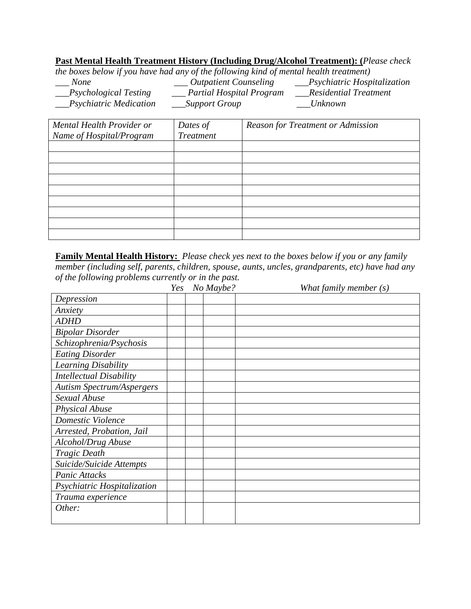#### **Past Mental Health Treatment History (Including Drug/Alcohol Treatment): (***Please check*

*the boxes below if you have had any of the following kind of mental health treatment)*

| <i>None</i>                  | <i><b>Outpatient Counseling</b></i> | __Psychiatric Hospitalization |
|------------------------------|-------------------------------------|-------------------------------|
| <b>Psychological Testing</b> | Partial Hospital Program            | Residential Treatment         |
| __Psychiatric Medication     | _Support Group_                     | <i>Unknown</i>                |

| Mental Health Provider or | Dates of         | <b>Reason for Treatment or Admission</b> |
|---------------------------|------------------|------------------------------------------|
| Name of Hospital/Program  | <b>Treatment</b> |                                          |
|                           |                  |                                          |
|                           |                  |                                          |
|                           |                  |                                          |
|                           |                  |                                          |
|                           |                  |                                          |
|                           |                  |                                          |
|                           |                  |                                          |
|                           |                  |                                          |
|                           |                  |                                          |

**Family Mental Health History:** *Please check yes next to the boxes below if you or any family member (including self, parents, children, spouse, aunts, uncles, grandparents, etc) have had any of the following problems currently or in the past.*

|                                  | Yes | No Maybe? | What family member $(s)$ |
|----------------------------------|-----|-----------|--------------------------|
| Depression                       |     |           |                          |
| Anxiety                          |     |           |                          |
| <b>ADHD</b>                      |     |           |                          |
| <b>Bipolar Disorder</b>          |     |           |                          |
| Schizophrenia/Psychosis          |     |           |                          |
| <b>Eating Disorder</b>           |     |           |                          |
| Learning Disability              |     |           |                          |
| <b>Intellectual Disability</b>   |     |           |                          |
| <b>Autism Spectrum/Aspergers</b> |     |           |                          |
| Sexual Abuse                     |     |           |                          |
| <b>Physical Abuse</b>            |     |           |                          |
| Domestic Violence                |     |           |                          |
| Arrested, Probation, Jail        |     |           |                          |
| Alcohol/Drug Abuse               |     |           |                          |
| <b>Tragic Death</b>              |     |           |                          |
| Suicide/Suicide Attempts         |     |           |                          |
| Panic Attacks                    |     |           |                          |
| Psychiatric Hospitalization      |     |           |                          |
| Trauma experience                |     |           |                          |
| Other:                           |     |           |                          |
|                                  |     |           |                          |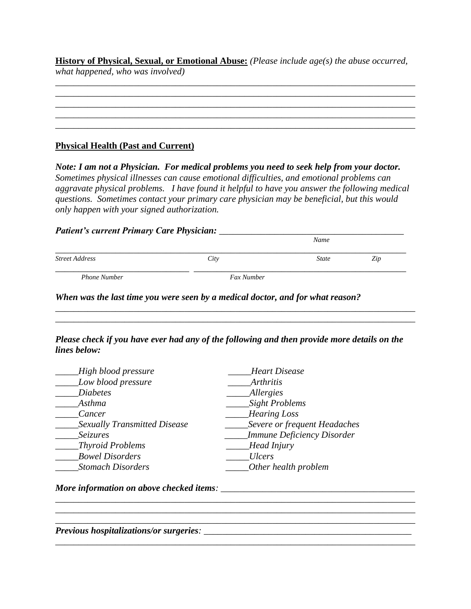**History of Physical, Sexual, or Emotional Abuse:** *(Please include age(s) the abuse occurred, what happened, who was involved)*

\_\_\_\_\_\_\_\_\_\_\_\_\_\_\_\_\_\_\_\_\_\_\_\_\_\_\_\_\_\_\_\_\_\_\_\_\_\_\_\_\_\_\_\_\_\_\_\_\_\_\_\_\_\_\_\_\_\_\_\_\_\_\_\_\_\_\_\_\_\_\_\_\_\_\_\_\_\_ \_\_\_\_\_\_\_\_\_\_\_\_\_\_\_\_\_\_\_\_\_\_\_\_\_\_\_\_\_\_\_\_\_\_\_\_\_\_\_\_\_\_\_\_\_\_\_\_\_\_\_\_\_\_\_\_\_\_\_\_\_\_\_\_\_\_\_\_\_\_\_\_\_\_\_\_\_\_ \_\_\_\_\_\_\_\_\_\_\_\_\_\_\_\_\_\_\_\_\_\_\_\_\_\_\_\_\_\_\_\_\_\_\_\_\_\_\_\_\_\_\_\_\_\_\_\_\_\_\_\_\_\_\_\_\_\_\_\_\_\_\_\_\_\_\_\_\_\_\_\_\_\_\_\_\_\_

#### **Physical Health (Past and Current)**

*Note: I am not a Physician. For medical problems you need to seek help from your doctor. Sometimes physical illnesses can cause emotional difficulties, and emotional problems can aggravate physical problems. I have found it helpful to have you answer the following medical questions. Sometimes contact your primary care physician may be beneficial, but this would only happen with your signed authorization.*

#### *Patient's current Primary Care Physician: \_\_\_\_\_\_\_\_\_\_\_\_\_\_\_\_\_\_\_\_\_\_\_\_\_\_\_\_\_\_\_\_\_\_\_\_\_\_\_\_*

| $\checkmark$          |            | Name         |     |
|-----------------------|------------|--------------|-----|
| <b>Street Address</b> | City       | <b>State</b> | Zip |
| <b>Phone Number</b>   | Fax Number |              |     |

*When was the last time you were seen by a medical doctor, and for what reason?* 

*Please check if you have ever had any of the following and then provide more details on the lines below:*

*\_\_\_\_\_\_\_\_\_\_\_\_\_\_\_\_\_\_\_\_\_\_\_\_\_\_\_\_\_\_\_\_\_\_\_\_\_\_\_\_\_\_\_\_\_\_\_\_\_\_\_\_\_\_\_\_\_\_\_\_\_\_\_\_\_\_\_\_\_\_\_\_\_\_\_\_\_\_*

*\_\_\_\_\_\_\_\_\_\_\_\_\_\_\_\_\_\_\_\_\_\_\_\_\_\_\_\_\_\_\_\_\_\_\_\_\_\_\_\_\_\_\_\_\_\_\_\_\_\_\_\_\_\_\_\_\_\_\_\_\_\_\_\_\_\_\_\_\_\_\_\_\_\_\_\_\_\_*

\_\_\_\_\_\_\_\_\_\_\_\_\_\_\_\_\_\_\_\_\_\_\_\_\_\_\_\_\_\_\_\_\_\_\_\_\_\_\_\_\_\_\_\_\_\_\_\_\_\_\_\_\_\_\_\_\_\_\_\_\_\_\_\_\_\_\_\_\_\_\_\_\_\_\_\_\_\_

*\_\_\_\_\_\_\_\_\_\_\_\_\_\_\_\_\_\_\_\_\_\_\_\_\_\_\_\_\_\_\_\_\_\_\_\_\_\_\_\_\_\_\_\_\_\_\_\_\_\_\_\_\_\_\_\_\_\_\_\_\_\_\_\_\_\_\_\_\_\_\_\_\_\_\_\_\_\_*

| High blood pressure                 | <b>Heart Disease</b>              |
|-------------------------------------|-----------------------------------|
| Low blood pressure                  | <b>Arthritis</b>                  |
| <b>Diabetes</b>                     | <b>Allergies</b>                  |
| Asthma                              | Sight Problems                    |
| Cancer                              | <b>Hearing Loss</b>               |
| <b>Sexually Transmitted Disease</b> | Severe or frequent Headaches      |
| <b>Seizures</b>                     | <b>Immune Deficiency Disorder</b> |
| Thyroid Problems                    | Head Injury                       |
| <b>Bowel Disorders</b>              | <b>Ulcers</b>                     |
| <b>Stomach Disorders</b>            | Other health problem              |

*More information on above checked items: \_\_\_\_\_\_\_\_\_\_\_\_\_\_\_\_\_\_\_\_\_\_\_\_\_\_\_\_\_\_\_\_\_\_\_\_\_\_\_\_\_\_* 

*Previous hospitalizations/or surgeries: \_\_\_\_\_\_\_\_\_\_\_\_\_\_\_\_\_\_\_\_\_\_\_\_\_\_\_\_\_\_\_\_\_\_\_\_\_\_\_\_\_\_\_\_\_*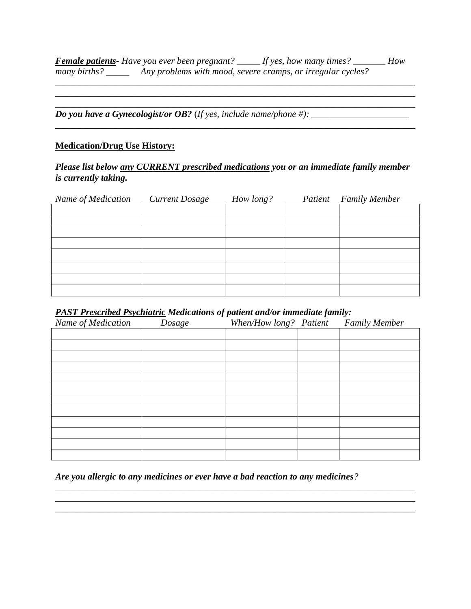*Female patients- Have you ever been pregnant? \_\_\_\_\_ If yes, how many times? \_\_\_\_\_\_\_ How many births? \_\_\_\_\_ Any problems with mood, severe cramps, or irregular cycles?* 

*\_\_\_\_\_\_\_\_\_\_\_\_\_\_\_\_\_\_\_\_\_\_\_\_\_\_\_\_\_\_\_\_\_\_\_\_\_\_\_\_\_\_\_\_\_\_\_\_\_\_\_\_\_\_\_\_\_\_\_\_\_\_\_\_\_\_\_\_\_\_\_\_\_\_\_\_\_\_ \_\_\_\_\_\_\_\_\_\_\_\_\_\_\_\_\_\_\_\_\_\_\_\_\_\_\_\_\_\_\_\_\_\_\_\_\_\_\_\_\_\_\_\_\_\_\_\_\_\_\_\_\_\_\_\_\_\_\_\_\_\_\_\_\_\_\_\_\_\_\_\_\_\_\_\_\_\_*

*\_\_\_\_\_\_\_\_\_\_\_\_\_\_\_\_\_\_\_\_\_\_\_\_\_\_\_\_\_\_\_\_\_\_\_\_\_\_\_\_\_\_\_\_\_\_\_\_\_\_\_\_\_\_\_\_\_\_\_\_\_\_\_\_\_\_\_\_\_\_\_\_\_\_\_\_\_\_*

*Do you have a Gynecologist/or OB?* (*If yes, include name/phone #*):  $\frac{1}{2}$ 

#### **Medication/Drug Use History:**

#### *Please list below any CURRENT prescribed medications you or an immediate family member is currently taking.*

| Name of Medication | <b>Current Dosage</b> | How long? | <b>Patient</b> Family Member |
|--------------------|-----------------------|-----------|------------------------------|
|                    |                       |           |                              |
|                    |                       |           |                              |
|                    |                       |           |                              |
|                    |                       |           |                              |
|                    |                       |           |                              |
|                    |                       |           |                              |
|                    |                       |           |                              |
|                    |                       |           |                              |

#### *PAST Prescribed Psychiatric Medications of patient and/or immediate family:*

| Name of Medication | Dosage | When/How long? Patient | <b>Family Member</b> |
|--------------------|--------|------------------------|----------------------|
|                    |        |                        |                      |
|                    |        |                        |                      |
|                    |        |                        |                      |
|                    |        |                        |                      |
|                    |        |                        |                      |
|                    |        |                        |                      |
|                    |        |                        |                      |
|                    |        |                        |                      |
|                    |        |                        |                      |
|                    |        |                        |                      |
|                    |        |                        |                      |
|                    |        |                        |                      |

*\_\_\_\_\_\_\_\_\_\_\_\_\_\_\_\_\_\_\_\_\_\_\_\_\_\_\_\_\_\_\_\_\_\_\_\_\_\_\_\_\_\_\_\_\_\_\_\_\_\_\_\_\_\_\_\_\_\_\_\_\_\_\_\_\_\_\_\_\_\_\_\_\_\_\_\_\_\_ \_\_\_\_\_\_\_\_\_\_\_\_\_\_\_\_\_\_\_\_\_\_\_\_\_\_\_\_\_\_\_\_\_\_\_\_\_\_\_\_\_\_\_\_\_\_\_\_\_\_\_\_\_\_\_\_\_\_\_\_\_\_\_\_\_\_\_\_\_\_\_\_\_\_\_\_\_\_ \_\_\_\_\_\_\_\_\_\_\_\_\_\_\_\_\_\_\_\_\_\_\_\_\_\_\_\_\_\_\_\_\_\_\_\_\_\_\_\_\_\_\_\_\_\_\_\_\_\_\_\_\_\_\_\_\_\_\_\_\_\_\_\_\_\_\_\_\_\_\_\_\_\_\_\_\_\_*

*Are you allergic to any medicines or ever have a bad reaction to any medicines?*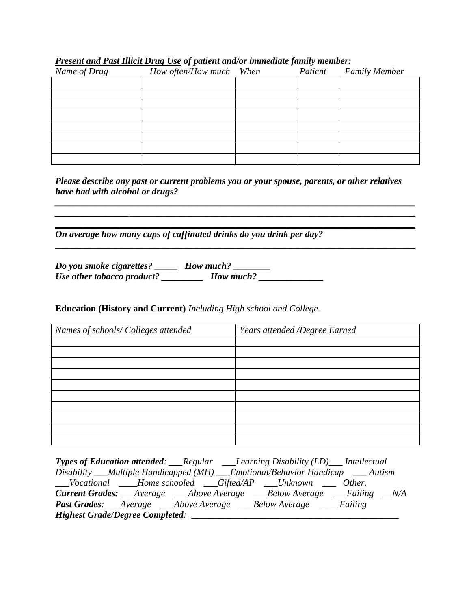| Name of Drug | How often/How much When | $\sim$ | Patient | <b>Family Member</b> |
|--------------|-------------------------|--------|---------|----------------------|
|              |                         |        |         |                      |
|              |                         |        |         |                      |
|              |                         |        |         |                      |
|              |                         |        |         |                      |
|              |                         |        |         |                      |
|              |                         |        |         |                      |
|              |                         |        |         |                      |
|              |                         |        |         |                      |

#### *Present and Past Illicit Drug Use of patient and/or immediate family member:*

*Please describe any past or current problems you or your spouse, parents, or other relatives have had with alcohol or drugs?*

*\_\_\_\_\_\_\_\_\_\_\_\_\_\_\_\_\_\_\_\_\_\_\_\_\_\_\_\_\_\_\_\_\_\_\_\_\_\_\_\_\_\_\_\_\_\_\_\_\_\_\_\_\_\_\_\_\_\_\_\_\_\_\_\_\_\_\_\_\_\_\_\_\_\_\_\_\_\_ \_\_\_\_\_\_\_\_\_\_\_\_\_\_\_\_*\_\_\_\_\_\_\_\_\_\_\_\_\_\_\_\_\_\_\_\_\_\_\_\_\_\_\_\_\_\_\_\_\_\_\_\_\_\_\_\_\_\_\_\_\_\_\_\_\_\_\_\_\_\_\_\_\_\_\_\_\_\_ **\_\_\_\_\_\_\_\_\_\_\_\_\_\_\_\_\_\_\_\_\_\_\_\_\_\_\_\_\_\_\_\_\_\_\_\_\_\_\_\_\_\_\_\_\_\_\_\_\_\_\_\_\_\_\_\_\_\_\_\_\_\_\_\_\_\_\_\_\_\_\_\_\_\_\_\_\_\_**

*\_\_\_\_\_\_\_\_\_\_\_\_\_\_\_\_\_\_\_\_\_\_\_\_\_\_\_\_\_\_\_\_\_\_\_\_\_\_\_\_\_\_\_\_\_\_\_\_\_\_\_\_\_\_\_\_\_\_\_\_\_\_\_\_\_\_\_\_\_\_\_\_\_\_\_\_\_\_*

*On average how many cups of caffinated drinks do you drink per day?* 

*Do you smoke cigarettes? \_\_\_\_\_ How much? \_\_\_\_\_\_\_\_ Use other tobacco product? \_\_\_\_\_\_\_\_\_ How much? \_\_\_\_\_\_\_\_\_\_\_\_\_\_*

#### **Education (History and Current)** *Including High school and College.*

| Names of schools/ Colleges attended | Years attended /Degree Earned |
|-------------------------------------|-------------------------------|
|                                     |                               |
|                                     |                               |
|                                     |                               |
|                                     |                               |
|                                     |                               |
|                                     |                               |
|                                     |                               |
|                                     |                               |
|                                     |                               |
|                                     |                               |

| <b>Types of Education attended:</b> Regular Learning Disability (LD) __ Intellectual |
|--------------------------------------------------------------------------------------|
| Disability ___Multiple Handicapped (MH) ___Emotional/Behavior Handicap ___ Autism    |
| __Vocational ____Home schooled ___Gifted/AP ___Unknown ____ Other.                   |
| <b>Current Grades:</b> __Average ___Above Average ___Below Average ___Failing __N/A  |
| <b>Past Grades:</b> ___Average ___Above Average ___Below Average ____ Failing        |
| <b>Highest Grade/Degree Completed:</b>                                               |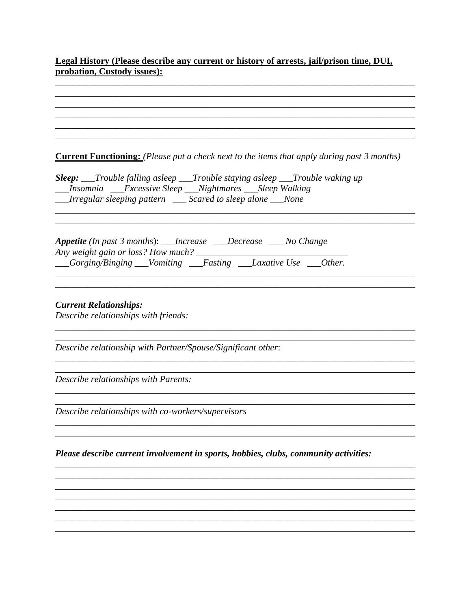# Legal History (Please describe any current or history of arrests, jail/prison time, DUI, probation, Custody issues):

| <b>Current Functioning:</b> (Please put a check next to the items that apply during past 3 months)                                                  |
|-----------------------------------------------------------------------------------------------------------------------------------------------------|
| <b>Sleep:</b> ___Trouble falling asleep ___Trouble staying asleep ___Trouble waking up<br>__Insomnia __Excessive Sleep __Nightmares __Sleep Walking |
| __Irregular sleeping pattern ___ Scared to sleep alone ___None                                                                                      |
|                                                                                                                                                     |
|                                                                                                                                                     |
| <b>Appetite</b> (In past 3 months): ___Increase ___Decrease ___ No Change<br>Any weight gain or loss? How much? _______                             |
| __Gorging/Binging __Vomiting __Fasting __Laxative Use __Other.                                                                                      |
|                                                                                                                                                     |
|                                                                                                                                                     |
| <b>Current Relationships:</b><br>Describe relationships with friends:                                                                               |
|                                                                                                                                                     |
| Describe relationship with Partner/Spouse/Significant other:                                                                                        |
|                                                                                                                                                     |
| Describe relationships with Parents:                                                                                                                |
|                                                                                                                                                     |
| Describe relationships with co-workers/supervisors                                                                                                  |
|                                                                                                                                                     |
| Please describe current involvement in sports, hobbies, clubs, community activities:                                                                |
|                                                                                                                                                     |
|                                                                                                                                                     |
|                                                                                                                                                     |
|                                                                                                                                                     |
|                                                                                                                                                     |
|                                                                                                                                                     |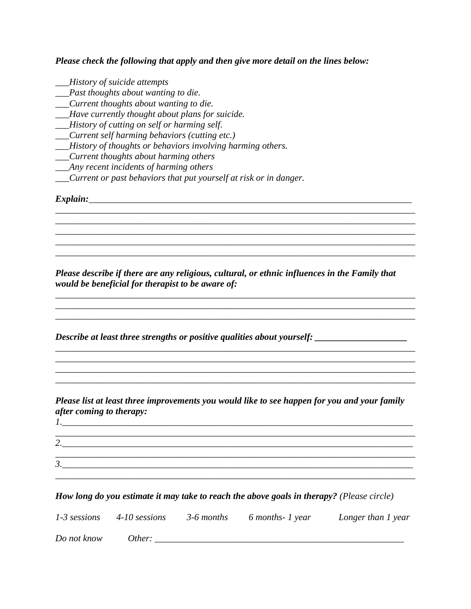*Please check the following that apply and then give more detail on the lines below:* 

- *\_\_\_History of suicide attempts*
- *\_\_\_Past thoughts about wanting to die.*
- *\_\_\_Current thoughts about wanting to die.*
- *\_\_\_Have currently thought about plans for suicide.*
- *\_\_\_History of cutting on self or harming self.*
- *\_\_\_Current self harming behaviors (cutting etc.)*
- *\_\_\_History of thoughts or behaviors involving harming others.*
- *\_\_\_Current thoughts about harming others*
- *\_\_\_Any recent incidents of harming others*
- *\_\_\_Current or past behaviors that put yourself at risk or in danger.*

*Explain:\_\_\_\_\_\_\_\_\_\_\_\_\_\_\_\_\_\_\_\_\_\_\_\_\_\_\_\_\_\_\_\_\_\_\_\_\_\_\_\_\_\_\_\_\_\_\_\_\_\_\_\_\_\_\_\_\_\_\_\_\_\_\_\_\_\_\_\_\_\_*

*Please describe if there are any religious, cultural, or ethnic influences in the Family that would be beneficial for therapist to be aware of:* 

*\_\_\_\_\_\_\_\_\_\_\_\_\_\_\_\_\_\_\_\_\_\_\_\_\_\_\_\_\_\_\_\_\_\_\_\_\_\_\_\_\_\_\_\_\_\_\_\_\_\_\_\_\_\_\_\_\_\_\_\_\_\_\_\_\_\_\_\_\_\_\_\_\_\_\_\_\_\_*

*\_\_\_\_\_\_\_\_\_\_\_\_\_\_\_\_\_\_\_\_\_\_\_\_\_\_\_\_\_\_\_\_\_\_\_\_\_\_\_\_\_\_\_\_\_\_\_\_\_\_\_\_\_\_\_\_\_\_\_\_\_\_\_\_\_\_\_\_\_\_\_\_\_\_\_\_\_\_*

*\_\_\_\_\_\_\_\_\_\_\_\_\_\_\_\_\_\_\_\_\_\_\_\_\_\_\_\_\_\_\_\_\_\_\_\_\_\_\_\_\_\_\_\_\_\_\_\_\_\_\_\_\_\_\_\_\_\_\_\_\_\_\_\_\_\_\_\_\_\_\_\_\_\_\_\_\_\_*

*\_\_\_\_\_\_\_\_\_\_\_\_\_\_\_\_\_\_\_\_\_\_\_\_\_\_\_\_\_\_\_\_\_\_\_\_\_\_\_\_\_\_\_\_\_\_\_\_\_\_\_\_\_\_\_\_\_\_\_\_\_\_\_\_\_\_\_\_\_\_\_\_\_\_\_\_\_\_*

*\_\_\_\_\_\_\_\_\_\_\_\_\_\_\_\_\_\_\_\_\_\_\_\_\_\_\_\_\_\_\_\_\_\_\_\_\_\_\_\_\_\_\_\_\_\_\_\_\_\_\_\_\_\_\_\_\_\_\_\_\_\_\_\_\_\_\_\_\_\_\_\_\_\_\_\_\_\_ \_\_\_\_\_\_\_\_\_\_\_\_\_\_\_\_\_\_\_\_\_\_\_\_\_\_\_\_\_\_\_\_\_\_\_\_\_\_\_\_\_\_\_\_\_\_\_\_\_\_\_\_\_\_\_\_\_\_\_\_\_\_\_\_\_\_\_\_\_\_\_\_\_\_\_\_\_\_*

*\_\_\_\_\_\_\_\_\_\_\_\_\_\_\_\_\_\_\_\_\_\_\_\_\_\_\_\_\_\_\_\_\_\_\_\_\_\_\_\_\_\_\_\_\_\_\_\_\_\_\_\_\_\_\_\_\_\_\_\_\_\_\_\_\_\_\_\_\_\_\_\_\_\_\_\_\_\_*

*Describe at least three strengths or positive qualities about yourself: \_\_\_\_\_\_\_\_\_\_\_\_\_\_\_\_\_\_\_\_*

*Please list at least three improvements you would like to see happen for you and your family after coming to therapy:*

*\_\_\_\_\_\_\_\_\_\_\_\_\_\_\_\_\_\_\_\_\_\_\_\_\_\_\_\_\_\_\_\_\_\_\_\_\_\_\_\_\_\_\_\_\_\_\_\_\_\_\_\_\_\_\_\_\_\_\_\_\_\_\_\_\_\_\_\_\_\_\_\_\_\_\_\_\_\_ \_\_\_\_\_\_\_\_\_\_\_\_\_\_\_\_\_\_\_\_\_\_\_\_\_\_\_\_\_\_\_\_\_\_\_\_\_\_\_\_\_\_\_\_\_\_\_\_\_\_\_\_\_\_\_\_\_\_\_\_\_\_\_\_\_\_\_\_\_\_\_\_\_\_\_\_\_\_ \_\_\_\_\_\_\_\_\_\_\_\_\_\_\_\_\_\_\_\_\_\_\_\_\_\_\_\_\_\_\_\_\_\_\_\_\_\_\_\_\_\_\_\_\_\_\_\_\_\_\_\_\_\_\_\_\_\_\_\_\_\_\_\_\_\_\_\_\_\_\_\_\_\_\_\_\_\_*

| $\sqrt{2}$<br><u>.</u> |  |  |  |
|------------------------|--|--|--|
| 2<br>◡.                |  |  |  |
|                        |  |  |  |

#### *How long do you estimate it may take to reach the above goals in therapy? (Please circle)*

|             | $1-3$ sessions $4-10$ sessions | 3-6 months 6 months-1 year | Longer than 1 year |
|-------------|--------------------------------|----------------------------|--------------------|
| Do not know | Other:                         |                            |                    |